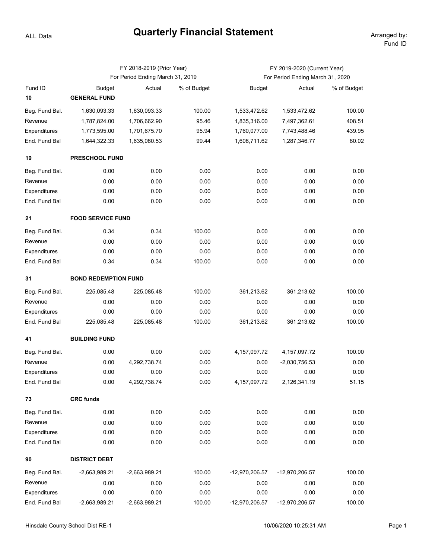## **Quarterly Financial Statement**

ALL Data

|                |                                  | FY 2018-2019 (Prior Year) |             | FY 2019-2020 (Current Year)      |                 |             |  |  |  |  |  |
|----------------|----------------------------------|---------------------------|-------------|----------------------------------|-----------------|-------------|--|--|--|--|--|
|                | For Period Ending March 31, 2019 |                           |             | For Period Ending March 31, 2020 |                 |             |  |  |  |  |  |
| Fund ID        | <b>Budget</b>                    | Actual                    | % of Budget | <b>Budget</b>                    | Actual          | % of Budget |  |  |  |  |  |
| 10             | <b>GENERAL FUND</b>              |                           |             |                                  |                 |             |  |  |  |  |  |
| Beg. Fund Bal. | 1,630,093.33                     | 1,630,093.33              | 100.00      | 1,533,472.62                     | 1,533,472.62    | 100.00      |  |  |  |  |  |
| Revenue        | 1,787,824.00                     | 1,706,662.90              | 95.46       | 1,835,316.00                     | 7,497,362.61    | 408.51      |  |  |  |  |  |
| Expenditures   | 1,773,595.00                     | 1,701,675.70              | 95.94       | 1,760,077.00                     | 7,743,488.46    | 439.95      |  |  |  |  |  |
| End. Fund Bal  | 1,644,322.33                     | 1,635,080.53              | 99.44       | 1,608,711.62                     | 1,287,346.77    | 80.02       |  |  |  |  |  |
| 19             | <b>PRESCHOOL FUND</b>            |                           |             |                                  |                 |             |  |  |  |  |  |
| Beg. Fund Bal. | 0.00                             | 0.00                      | 0.00        | 0.00                             | 0.00            | 0.00        |  |  |  |  |  |
| Revenue        | 0.00                             | 0.00                      | 0.00        | 0.00                             | 0.00            | 0.00        |  |  |  |  |  |
| Expenditures   | 0.00                             | 0.00                      | 0.00        | 0.00                             | 0.00            | 0.00        |  |  |  |  |  |
| End. Fund Bal  | 0.00                             | 0.00                      | 0.00        | 0.00                             | 0.00            | 0.00        |  |  |  |  |  |
| 21             | <b>FOOD SERVICE FUND</b>         |                           |             |                                  |                 |             |  |  |  |  |  |
| Beg. Fund Bal. | 0.34                             | 0.34                      | 100.00      | 0.00                             | 0.00            | 0.00        |  |  |  |  |  |
| Revenue        | 0.00                             | 0.00                      | 0.00        | 0.00                             | 0.00            | 0.00        |  |  |  |  |  |
| Expenditures   | 0.00                             | 0.00                      | 0.00        | 0.00                             | 0.00            | 0.00        |  |  |  |  |  |
| End. Fund Bal  | 0.34                             | 0.34                      | 100.00      | 0.00                             | 0.00            | 0.00        |  |  |  |  |  |
| 31             | <b>BOND REDEMPTION FUND</b>      |                           |             |                                  |                 |             |  |  |  |  |  |
| Beg. Fund Bal. | 225,085.48                       | 225,085.48                | 100.00      | 361,213.62                       | 361,213.62      | 100.00      |  |  |  |  |  |
| Revenue        | 0.00                             | 0.00                      | 0.00        | 0.00                             | 0.00            | 0.00        |  |  |  |  |  |
| Expenditures   | 0.00                             | 0.00                      | 0.00        | 0.00                             | 0.00            | 0.00        |  |  |  |  |  |
| End. Fund Bal  | 225,085.48                       | 225,085.48                | 100.00      | 361,213.62                       | 361,213.62      | 100.00      |  |  |  |  |  |
| 41             | <b>BUILDING FUND</b>             |                           |             |                                  |                 |             |  |  |  |  |  |
| Beg. Fund Bal. | 0.00                             | 0.00                      | 0.00        | 4, 157, 097. 72                  | 4, 157, 097. 72 | 100.00      |  |  |  |  |  |
| Revenue        | 0.00                             | 4,292,738.74              | 0.00        | 0.00                             | $-2,030,756.53$ | 0.00        |  |  |  |  |  |
| Expenditures   | 0.00                             | 0.00                      | 0.00        | 0.00                             | 0.00            | 0.00        |  |  |  |  |  |
| End. Fund Bal  | 0.00                             | 4,292,738.74              | 0.00        | 4, 157, 097. 72                  | 2,126,341.19    | 51.15       |  |  |  |  |  |
| 73             | <b>CRC funds</b>                 |                           |             |                                  |                 |             |  |  |  |  |  |
| Beg. Fund Bal. | 0.00                             | 0.00                      | 0.00        | 0.00                             | 0.00            | 0.00        |  |  |  |  |  |
| Revenue        | 0.00                             | 0.00                      | 0.00        | 0.00                             | 0.00            | 0.00        |  |  |  |  |  |
| Expenditures   | 0.00                             | 0.00                      | 0.00        | 0.00                             | 0.00            | 0.00        |  |  |  |  |  |
| End. Fund Bal  | 0.00                             | 0.00                      | 0.00        | 0.00                             | 0.00            | 0.00        |  |  |  |  |  |
| 90             | <b>DISTRICT DEBT</b>             |                           |             |                                  |                 |             |  |  |  |  |  |
| Beg. Fund Bal. | $-2,663,989.21$                  | -2,663,989.21             | 100.00      | -12,970,206.57                   | -12,970,206.57  | 100.00      |  |  |  |  |  |
| Revenue        | 0.00                             | 0.00                      | 0.00        | 0.00                             | 0.00            | 0.00        |  |  |  |  |  |
| Expenditures   | 0.00                             | 0.00                      | 0.00        | 0.00                             | 0.00            | 0.00        |  |  |  |  |  |
| End. Fund Bal  | $-2,663,989.21$                  | -2,663,989.21             | 100.00      | -12,970,206.57                   | -12,970,206.57  | 100.00      |  |  |  |  |  |